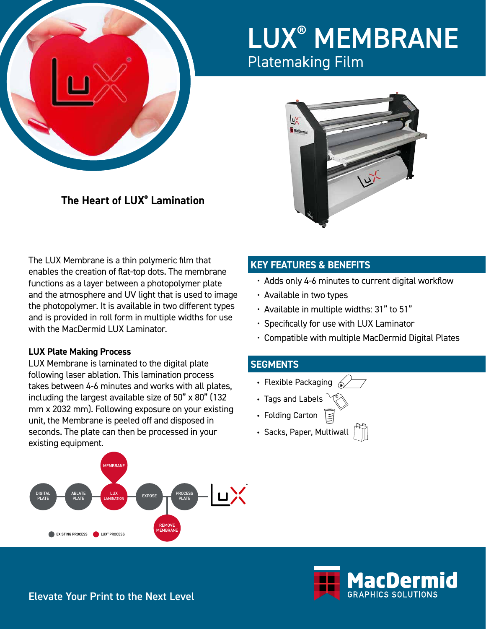

# LUX® MEMBRANE Platemaking Film



**The Heart of LUX® Lamination**

The LUX Membrane is a thin polymeric film that enables the creation of flat-top dots. The membrane functions as a layer between a photopolymer plate and the atmosphere and UV light that is used to image the photopolymer. It is available in two different types and is provided in roll form in multiple widths for use with the MacDermid LUX Laminator.

### **LUX Plate Making Process**

LUX Membrane is laminated to the digital plate following laser ablation. This lamination process takes between 4-6 minutes and works with all plates, including the largest available size of 50" x 80" (132 mm x 2032 mm). Following exposure on your existing unit, the Membrane is peeled off and disposed in seconds. The plate can then be processed in your existing equipment.



## **KEY FEATURES & BENEFITS**

- Adds only 4-6 minutes to current digital workflow
- Available in two types
- Available in multiple widths: 31" to 51"
- Specifically for use with LUX Laminator
- Compatible with multiple MacDermid Digital Plates

### **SEGMENTS**

- Flexible Packaging  $\mathcal{L}$
- Tags and Labels
- Folding Carton
- Sacks, Paper, Multiwall



Elevate Your Print to the Next Level